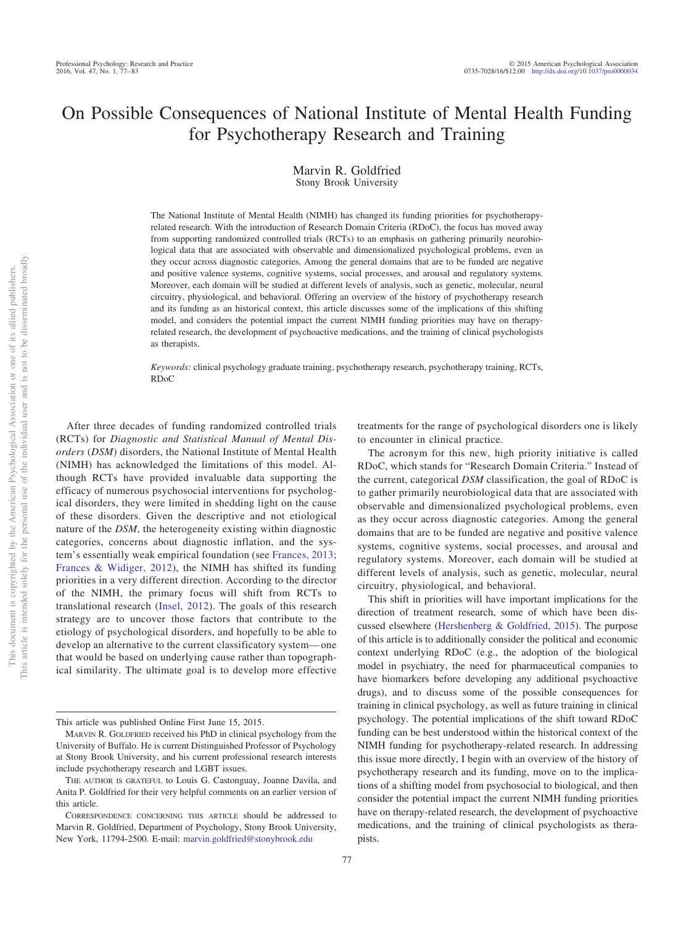# On Possible Consequences of National Institute of Mental Health Funding for Psychotherapy Research and Training

Marvin R. Goldfried Stony Brook University

The National Institute of Mental Health (NIMH) has changed its funding priorities for psychotherapyrelated research. With the introduction of Research Domain Criteria (RDoC), the focus has moved away from supporting randomized controlled trials (RCTs) to an emphasis on gathering primarily neurobiological data that are associated with observable and dimensionalized psychological problems, even as they occur across diagnostic categories. Among the general domains that are to be funded are negative and positive valence systems, cognitive systems, social processes, and arousal and regulatory systems. Moreover, each domain will be studied at different levels of analysis, such as genetic, molecular, neural circuitry, physiological, and behavioral. Offering an overview of the history of psychotherapy research and its funding as an historical context, this article discusses some of the implications of this shifting model, and considers the potential impact the current NIMH funding priorities may have on therapyrelated research, the development of psychoactive medications, and the training of clinical psychologists as therapists.

*Keywords:* clinical psychology graduate training, psychotherapy research, psychotherapy training, RCTs, RDoC

After three decades of funding randomized controlled trials (RCTs) for *Diagnostic and Statistical Manual of Mental Disorders* (*DSM*) disorders, the National Institute of Mental Health (NIMH) has acknowledged the limitations of this model. Although RCTs have provided invaluable data supporting the efficacy of numerous psychosocial interventions for psychological disorders, they were limited in shedding light on the cause of these disorders. Given the descriptive and not etiological nature of the *DSM*, the heterogeneity existing within diagnostic categories, concerns about diagnostic inflation, and the system's essentially weak empirical foundation (see [Frances, 2013;](#page-5-0) [Frances & Widiger, 2012\)](#page-5-1), the NIMH has shifted its funding priorities in a very different direction. According to the director of the NIMH, the primary focus will shift from RCTs to translational research [\(Insel, 2012\)](#page-5-2). The goals of this research strategy are to uncover those factors that contribute to the etiology of psychological disorders, and hopefully to be able to develop an alternative to the current classificatory system— one that would be based on underlying cause rather than topographical similarity. The ultimate goal is to develop more effective

77

treatments for the range of psychological disorders one is likely to encounter in clinical practice.

The acronym for this new, high priority initiative is called RDoC, which stands for "Research Domain Criteria." Instead of the current, categorical *DSM* classification, the goal of RDoC is to gather primarily neurobiological data that are associated with observable and dimensionalized psychological problems, even as they occur across diagnostic categories. Among the general domains that are to be funded are negative and positive valence systems, cognitive systems, social processes, and arousal and regulatory systems. Moreover, each domain will be studied at different levels of analysis, such as genetic, molecular, neural circuitry, physiological, and behavioral.

This shift in priorities will have important implications for the direction of treatment research, some of which have been discussed elsewhere [\(Hershenberg & Goldfried, 2015\)](#page-5-3). The purpose of this article is to additionally consider the political and economic context underlying RDoC (e.g., the adoption of the biological model in psychiatry, the need for pharmaceutical companies to have biomarkers before developing any additional psychoactive drugs), and to discuss some of the possible consequences for training in clinical psychology, as well as future training in clinical psychology. The potential implications of the shift toward RDoC funding can be best understood within the historical context of the NIMH funding for psychotherapy-related research. In addressing this issue more directly, I begin with an overview of the history of psychotherapy research and its funding, move on to the implications of a shifting model from psychosocial to biological, and then consider the potential impact the current NIMH funding priorities have on therapy-related research, the development of psychoactive medications, and the training of clinical psychologists as therapists.

This article was published Online First June 15, 2015.

MARVIN R. GOLDFRIED received his PhD in clinical psychology from the University of Buffalo. He is current Distinguished Professor of Psychology at Stony Brook University, and his current professional research interests include psychotherapy research and LGBT issues.

THE AUTHOR IS GRATEFUL to Louis G. Castonguay, Joanne Davila, and Anita P. Goldfried for their very helpful comments on an earlier version of this article.

CORRESPONDENCE CONCERNING THIS ARTICLE should be addressed to Marvin R. Goldfried, Department of Psychology, Stony Brook University, New York, 11794-2500. E-mail: [marvin.goldfried@stonybrook.edu](mailto:marvin.goldfried@stonybrook.edu)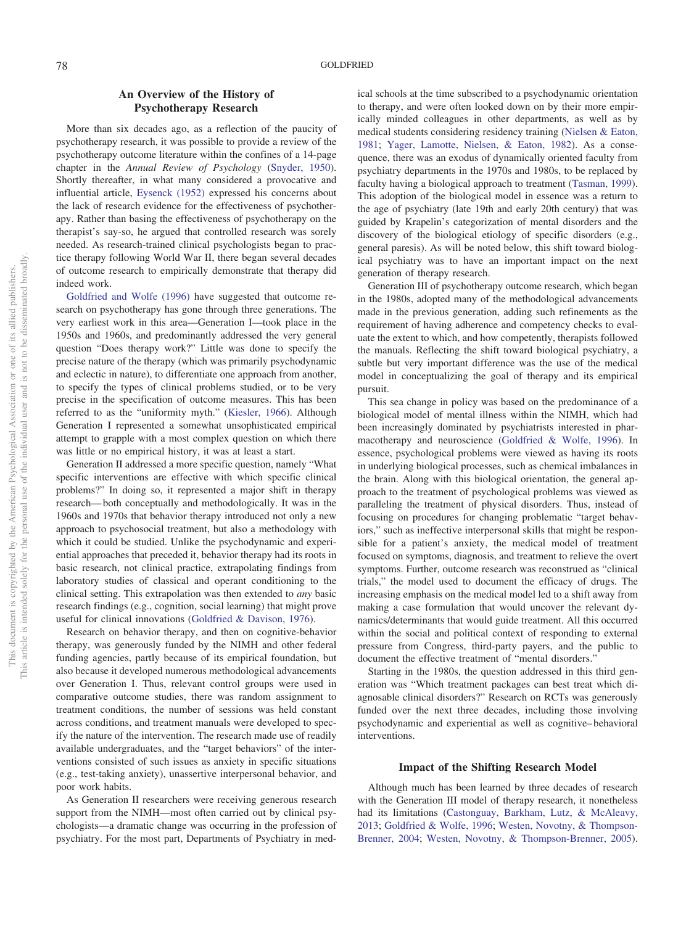# **An Overview of the History of Psychotherapy Research**

More than six decades ago, as a reflection of the paucity of psychotherapy research, it was possible to provide a review of the psychotherapy outcome literature within the confines of a 14-page chapter in the *Annual Review of Psychology* [\(Snyder, 1950\)](#page-6-0). Shortly thereafter, in what many considered a provocative and influential article, [Eysenck \(1952\)](#page-5-4) expressed his concerns about the lack of research evidence for the effectiveness of psychotherapy. Rather than basing the effectiveness of psychotherapy on the therapist's say-so, he argued that controlled research was sorely needed. As research-trained clinical psychologists began to practice therapy following World War II, there began several decades of outcome research to empirically demonstrate that therapy did indeed work.

[Goldfried and Wolfe \(1996\)](#page-5-5) have suggested that outcome research on psychotherapy has gone through three generations. The very earliest work in this area—Generation I—took place in the 1950s and 1960s, and predominantly addressed the very general question "Does therapy work?" Little was done to specify the precise nature of the therapy (which was primarily psychodynamic and eclectic in nature), to differentiate one approach from another, to specify the types of clinical problems studied, or to be very precise in the specification of outcome measures. This has been referred to as the "uniformity myth." [\(Kiesler, 1966\)](#page-5-6). Although Generation I represented a somewhat unsophisticated empirical attempt to grapple with a most complex question on which there was little or no empirical history, it was at least a start.

Generation II addressed a more specific question, namely "What specific interventions are effective with which specific clinical problems?" In doing so, it represented a major shift in therapy research— both conceptually and methodologically. It was in the 1960s and 1970s that behavior therapy introduced not only a new approach to psychosocial treatment, but also a methodology with which it could be studied. Unlike the psychodynamic and experiential approaches that preceded it, behavior therapy had its roots in basic research, not clinical practice, extrapolating findings from laboratory studies of classical and operant conditioning to the clinical setting. This extrapolation was then extended to *any* basic research findings (e.g., cognition, social learning) that might prove useful for clinical innovations [\(Goldfried & Davison, 1976\)](#page-5-7).

Research on behavior therapy, and then on cognitive-behavior therapy, was generously funded by the NIMH and other federal funding agencies, partly because of its empirical foundation, but also because it developed numerous methodological advancements over Generation I. Thus, relevant control groups were used in comparative outcome studies, there was random assignment to treatment conditions, the number of sessions was held constant across conditions, and treatment manuals were developed to specify the nature of the intervention. The research made use of readily available undergraduates, and the "target behaviors" of the interventions consisted of such issues as anxiety in specific situations (e.g., test-taking anxiety), unassertive interpersonal behavior, and poor work habits.

As Generation II researchers were receiving generous research support from the NIMH—most often carried out by clinical psychologists—a dramatic change was occurring in the profession of psychiatry. For the most part, Departments of Psychiatry in medical schools at the time subscribed to a psychodynamic orientation to therapy, and were often looked down on by their more empirically minded colleagues in other departments, as well as by medical students considering residency training [\(Nielsen & Eaton,](#page-6-1) [1981;](#page-6-1) [Yager, Lamotte, Nielsen, & Eaton, 1982\)](#page-6-2). As a consequence, there was an exodus of dynamically oriented faculty from psychiatry departments in the 1970s and 1980s, to be replaced by faculty having a biological approach to treatment [\(Tasman, 1999\)](#page-6-3). This adoption of the biological model in essence was a return to the age of psychiatry (late 19th and early 20th century) that was guided by Krapelin's categorization of mental disorders and the discovery of the biological etiology of specific disorders (e.g., general paresis). As will be noted below, this shift toward biological psychiatry was to have an important impact on the next generation of therapy research.

Generation III of psychotherapy outcome research, which began in the 1980s, adopted many of the methodological advancements made in the previous generation, adding such refinements as the requirement of having adherence and competency checks to evaluate the extent to which, and how competently, therapists followed the manuals. Reflecting the shift toward biological psychiatry, a subtle but very important difference was the use of the medical model in conceptualizing the goal of therapy and its empirical pursuit.

This sea change in policy was based on the predominance of a biological model of mental illness within the NIMH, which had been increasingly dominated by psychiatrists interested in pharmacotherapy and neuroscience [\(Goldfried & Wolfe, 1996\)](#page-5-5). In essence, psychological problems were viewed as having its roots in underlying biological processes, such as chemical imbalances in the brain. Along with this biological orientation, the general approach to the treatment of psychological problems was viewed as paralleling the treatment of physical disorders. Thus, instead of focusing on procedures for changing problematic "target behaviors," such as ineffective interpersonal skills that might be responsible for a patient's anxiety, the medical model of treatment focused on symptoms, diagnosis, and treatment to relieve the overt symptoms. Further, outcome research was reconstrued as "clinical trials," the model used to document the efficacy of drugs. The increasing emphasis on the medical model led to a shift away from making a case formulation that would uncover the relevant dynamics/determinants that would guide treatment. All this occurred within the social and political context of responding to external pressure from Congress, third-party payers, and the public to document the effective treatment of "mental disorders."

Starting in the 1980s, the question addressed in this third generation was "Which treatment packages can best treat which diagnosable clinical disorders?" Research on RCTs was generously funded over the next three decades, including those involving psychodynamic and experiential as well as cognitive– behavioral interventions.

#### **Impact of the Shifting Research Model**

Although much has been learned by three decades of research with the Generation III model of therapy research, it nonetheless had its limitations [\(Castonguay, Barkham, Lutz, & McAleavy,](#page-5-8) [2013;](#page-5-8) [Goldfried & Wolfe, 1996;](#page-5-5) [Westen, Novotny, & Thompson-](#page-6-4)[Brenner, 2004;](#page-6-4) [Westen, Novotny, & Thompson-Brenner, 2005\)](#page-6-5).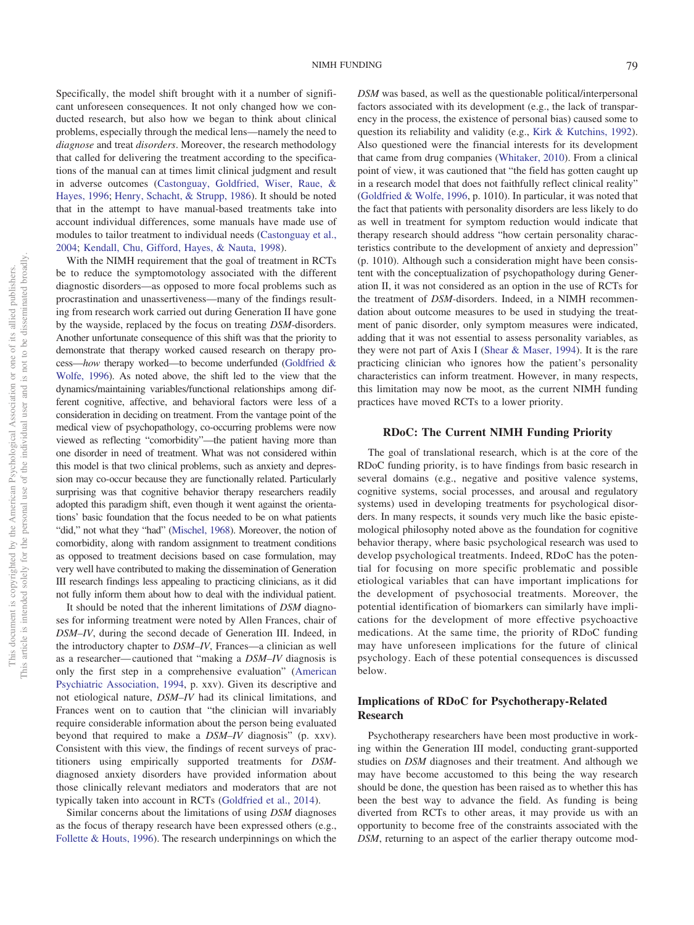Specifically, the model shift brought with it a number of significant unforeseen consequences. It not only changed how we conducted research, but also how we began to think about clinical problems, especially through the medical lens—namely the need to *diagnose* and treat *disorders*. Moreover, the research methodology that called for delivering the treatment according to the specifications of the manual can at times limit clinical judgment and result in adverse outcomes [\(Castonguay, Goldfried, Wiser, Raue, &](#page-5-9) [Hayes, 1996;](#page-5-9) [Henry, Schacht, & Strupp, 1986\)](#page-5-10). It should be noted that in the attempt to have manual-based treatments take into account individual differences, some manuals have made use of modules to tailor treatment to individual needs [\(Castonguay et al.,](#page-5-11)

[2004;](#page-5-11) [Kendall, Chu, Gifford, Hayes, & Nauta, 1998\)](#page-5-12). With the NIMH requirement that the goal of treatment in RCTs be to reduce the symptomotology associated with the different diagnostic disorders—as opposed to more focal problems such as procrastination and unassertiveness—many of the findings resulting from research work carried out during Generation II have gone by the wayside, replaced by the focus on treating *DSM*-disorders. Another unfortunate consequence of this shift was that the priority to demonstrate that therapy worked caused research on therapy process—*how* therapy worked—to become underfunded [\(Goldfried &](#page-5-5) [Wolfe, 1996\)](#page-5-5). As noted above, the shift led to the view that the dynamics/maintaining variables/functional relationships among different cognitive, affective, and behavioral factors were less of a consideration in deciding on treatment. From the vantage point of the medical view of psychopathology, co-occurring problems were now viewed as reflecting "comorbidity"—the patient having more than one disorder in need of treatment. What was not considered within this model is that two clinical problems, such as anxiety and depression may co-occur because they are functionally related. Particularly surprising was that cognitive behavior therapy researchers readily adopted this paradigm shift, even though it went against the orientations' basic foundation that the focus needed to be on what patients "did," not what they "had" [\(Mischel, 1968\)](#page-6-6). Moreover, the notion of comorbidity, along with random assignment to treatment conditions as opposed to treatment decisions based on case formulation, may very well have contributed to making the dissemination of Generation III research findings less appealing to practicing clinicians, as it did not fully inform them about how to deal with the individual patient.

It should be noted that the inherent limitations of *DSM* diagnoses for informing treatment were noted by Allen Frances, chair of *DSM–IV*, during the second decade of Generation III. Indeed, in the introductory chapter to *DSM–IV*, Frances—a clinician as well as a researcher— cautioned that "making a *DSM–IV* diagnosis is only the first step in a comprehensive evaluation" [\(American](#page-5-13) [Psychiatric Association, 1994,](#page-5-13) p. xxv). Given its descriptive and not etiological nature, *DSM–IV* had its clinical limitations, and Frances went on to caution that "the clinician will invariably require considerable information about the person being evaluated beyond that required to make a *DSM–IV* diagnosis" (p. xxv). Consistent with this view, the findings of recent surveys of practitioners using empirically supported treatments for *DSM*diagnosed anxiety disorders have provided information about those clinically relevant mediators and moderators that are not typically taken into account in RCTs [\(Goldfried et al., 2014\)](#page-5-14).

Similar concerns about the limitations of using *DSM* diagnoses as the focus of therapy research have been expressed others (e.g., [Follette & Houts, 1996\)](#page-5-15). The research underpinnings on which the

*DSM* was based, as well as the questionable political/interpersonal factors associated with its development (e.g., the lack of transparency in the process, the existence of personal bias) caused some to question its reliability and validity (e.g., [Kirk & Kutchins, 1992\)](#page-5-16). Also questioned were the financial interests for its development that came from drug companies [\(Whitaker, 2010\)](#page-6-7). From a clinical point of view, it was cautioned that "the field has gotten caught up in a research model that does not faithfully reflect clinical reality" [\(Goldfried & Wolfe, 1996,](#page-5-5) p. 1010). In particular, it was noted that the fact that patients with personality disorders are less likely to do as well in treatment for symptom reduction would indicate that therapy research should address "how certain personality characteristics contribute to the development of anxiety and depression" (p. 1010). Although such a consideration might have been consistent with the conceptualization of psychopathology during Generation II, it was not considered as an option in the use of RCTs for the treatment of *DSM-*disorders. Indeed, in a NIMH recommendation about outcome measures to be used in studying the treatment of panic disorder, only symptom measures were indicated, adding that it was not essential to assess personality variables, as they were not part of Axis I [\(Shear & Maser, 1994\)](#page-6-8). It is the rare practicing clinician who ignores how the patient's personality characteristics can inform treatment. However, in many respects, this limitation may now be moot, as the current NIMH funding practices have moved RCTs to a lower priority.

#### **RDoC: The Current NIMH Funding Priority**

The goal of translational research, which is at the core of the RDoC funding priority, is to have findings from basic research in several domains (e.g., negative and positive valence systems, cognitive systems, social processes, and arousal and regulatory systems) used in developing treatments for psychological disorders. In many respects, it sounds very much like the basic epistemological philosophy noted above as the foundation for cognitive behavior therapy, where basic psychological research was used to develop psychological treatments. Indeed, RDoC has the potential for focusing on more specific problematic and possible etiological variables that can have important implications for the development of psychosocial treatments. Moreover, the potential identification of biomarkers can similarly have implications for the development of more effective psychoactive medications. At the same time, the priority of RDoC funding may have unforeseen implications for the future of clinical psychology. Each of these potential consequences is discussed below.

### **Implications of RDoC for Psychotherapy-Related Research**

Psychotherapy researchers have been most productive in working within the Generation III model, conducting grant-supported studies on *DSM* diagnoses and their treatment. And although we may have become accustomed to this being the way research should be done, the question has been raised as to whether this has been the best way to advance the field. As funding is being diverted from RCTs to other areas, it may provide us with an opportunity to become free of the constraints associated with the *DSM*, returning to an aspect of the earlier therapy outcome mod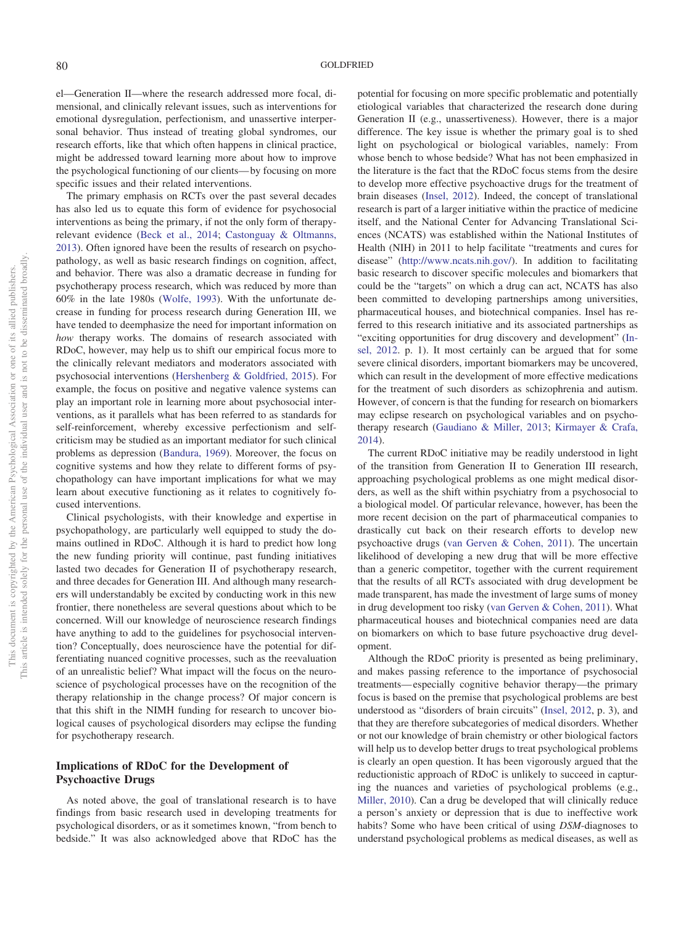el—Generation II—where the research addressed more focal, dimensional, and clinically relevant issues, such as interventions for emotional dysregulation, perfectionism, and unassertive interpersonal behavior. Thus instead of treating global syndromes, our research efforts, like that which often happens in clinical practice, might be addressed toward learning more about how to improve the psychological functioning of our clients— by focusing on more specific issues and their related interventions.

The primary emphasis on RCTs over the past several decades has also led us to equate this form of evidence for psychosocial interventions as being the primary, if not the only form of therapyrelevant evidence [\(Beck et al., 2014;](#page-5-17) [Castonguay & Oltmanns,](#page-5-18) [2013\)](#page-5-18). Often ignored have been the results of research on psychopathology, as well as basic research findings on cognition, affect, and behavior. There was also a dramatic decrease in funding for psychotherapy process research, which was reduced by more than 60% in the late 1980s [\(Wolfe, 1993\)](#page-6-9). With the unfortunate decrease in funding for process research during Generation III, we have tended to deemphasize the need for important information on *how* therapy works. The domains of research associated with RDoC, however, may help us to shift our empirical focus more to the clinically relevant mediators and moderators associated with psychosocial interventions [\(Hershenberg & Goldfried, 2015\)](#page-5-3). For example, the focus on positive and negative valence systems can play an important role in learning more about psychosocial interventions, as it parallels what has been referred to as standards for self-reinforcement, whereby excessive perfectionism and selfcriticism may be studied as an important mediator for such clinical problems as depression [\(Bandura, 1969\)](#page-5-19). Moreover, the focus on cognitive systems and how they relate to different forms of psychopathology can have important implications for what we may learn about executive functioning as it relates to cognitively focused interventions.

Clinical psychologists, with their knowledge and expertise in psychopathology, are particularly well equipped to study the domains outlined in RDoC. Although it is hard to predict how long the new funding priority will continue, past funding initiatives lasted two decades for Generation II of psychotherapy research, and three decades for Generation III. And although many researchers will understandably be excited by conducting work in this new frontier, there nonetheless are several questions about which to be concerned. Will our knowledge of neuroscience research findings have anything to add to the guidelines for psychosocial intervention? Conceptually, does neuroscience have the potential for differentiating nuanced cognitive processes, such as the reevaluation of an unrealistic belief? What impact will the focus on the neuroscience of psychological processes have on the recognition of the therapy relationship in the change process? Of major concern is that this shift in the NIMH funding for research to uncover biological causes of psychological disorders may eclipse the funding for psychotherapy research.

## **Implications of RDoC for the Development of Psychoactive Drugs**

As noted above, the goal of translational research is to have findings from basic research used in developing treatments for psychological disorders, or as it sometimes known, "from bench to bedside." It was also acknowledged above that RDoC has the potential for focusing on more specific problematic and potentially etiological variables that characterized the research done during Generation II (e.g., unassertiveness). However, there is a major difference. The key issue is whether the primary goal is to shed light on psychological or biological variables, namely: From whose bench to whose bedside? What has not been emphasized in the literature is the fact that the RDoC focus stems from the desire to develop more effective psychoactive drugs for the treatment of brain diseases [\(Insel, 2012\)](#page-5-2). Indeed, the concept of translational research is part of a larger initiative within the practice of medicine itself, and the National Center for Advancing Translational Sciences (NCATS) was established within the National Institutes of Health (NIH) in 2011 to help facilitate "treatments and cures for disease" [\(http://www.ncats.nih.gov/\)](http://www.ncats.nih.gov/). In addition to facilitating basic research to discover specific molecules and biomarkers that could be the "targets" on which a drug can act, NCATS has also been committed to developing partnerships among universities, pharmaceutical houses, and biotechnical companies. Insel has referred to this research initiative and its associated partnerships as "exciting opportunities for drug discovery and development" [\(In](#page-5-2)[sel, 2012.](#page-5-2) p. 1). It most certainly can be argued that for some severe clinical disorders, important biomarkers may be uncovered, which can result in the development of more effective medications for the treatment of such disorders as schizophrenia and autism. However, of concern is that the funding for research on biomarkers may eclipse research on psychological variables and on psychotherapy research [\(Gaudiano & Miller, 2013;](#page-5-20) [Kirmayer & Crafa,](#page-5-21) [2014\)](#page-5-21).

The current RDoC initiative may be readily understood in light of the transition from Generation II to Generation III research, approaching psychological problems as one might medical disorders, as well as the shift within psychiatry from a psychosocial to a biological model. Of particular relevance, however, has been the more recent decision on the part of pharmaceutical companies to drastically cut back on their research efforts to develop new psychoactive drugs [\(van Gerven & Cohen, 2011\)](#page-6-10). The uncertain likelihood of developing a new drug that will be more effective than a generic competitor, together with the current requirement that the results of all RCTs associated with drug development be made transparent, has made the investment of large sums of money in drug development too risky [\(van Gerven & Cohen, 2011\)](#page-6-10). What pharmaceutical houses and biotechnical companies need are data on biomarkers on which to base future psychoactive drug development.

Although the RDoC priority is presented as being preliminary, and makes passing reference to the importance of psychosocial treatments— especially cognitive behavior therapy—the primary focus is based on the premise that psychological problems are best understood as "disorders of brain circuits" [\(Insel, 2012,](#page-5-2) p. 3), and that they are therefore subcategories of medical disorders. Whether or not our knowledge of brain chemistry or other biological factors will help us to develop better drugs to treat psychological problems is clearly an open question. It has been vigorously argued that the reductionistic approach of RDoC is unlikely to succeed in capturing the nuances and varieties of psychological problems (e.g., [Miller, 2010\)](#page-6-11). Can a drug be developed that will clinically reduce a person's anxiety or depression that is due to ineffective work habits? Some who have been critical of using *DSM*-diagnoses to understand psychological problems as medical diseases, as well as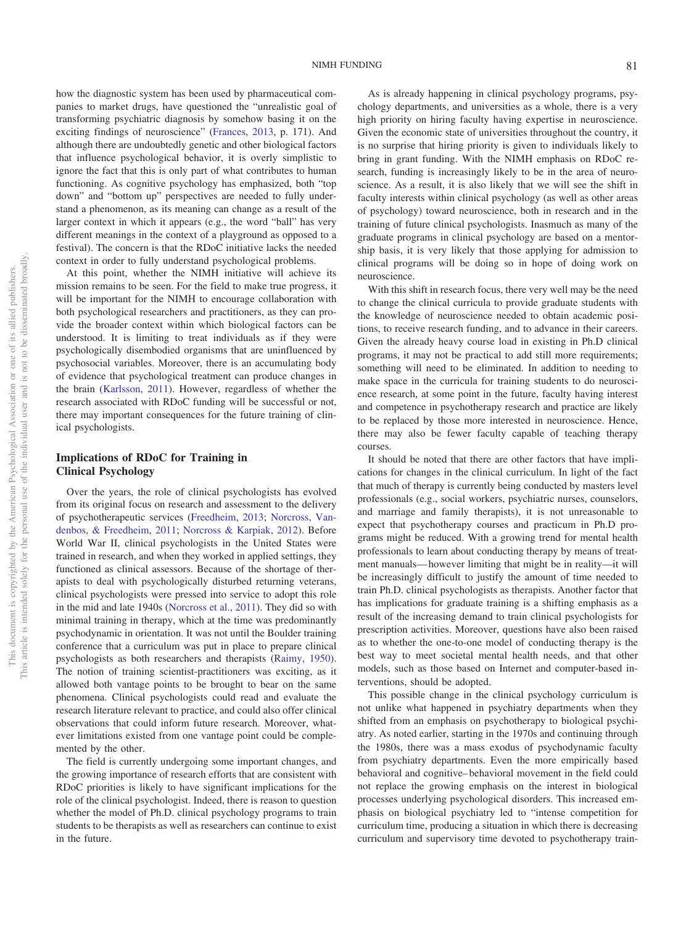how the diagnostic system has been used by pharmaceutical companies to market drugs, have questioned the "unrealistic goal of transforming psychiatric diagnosis by somehow basing it on the exciting findings of neuroscience" [\(Frances, 2013,](#page-5-0) p. 171). And although there are undoubtedly genetic and other biological factors that influence psychological behavior, it is overly simplistic to ignore the fact that this is only part of what contributes to human functioning. As cognitive psychology has emphasized, both "top down" and "bottom up" perspectives are needed to fully understand a phenomenon, as its meaning can change as a result of the larger context in which it appears (e.g., the word "ball" has very different meanings in the context of a playground as opposed to a festival). The concern is that the RDoC initiative lacks the needed context in order to fully understand psychological problems.

At this point, whether the NIMH initiative will achieve its mission remains to be seen. For the field to make true progress, it will be important for the NIMH to encourage collaboration with both psychological researchers and practitioners, as they can provide the broader context within which biological factors can be understood. It is limiting to treat individuals as if they were psychologically disembodied organisms that are uninfluenced by psychosocial variables. Moreover, there is an accumulating body of evidence that psychological treatment can produce changes in the brain [\(Karlsson, 2011\)](#page-5-22). However, regardless of whether the research associated with RDoC funding will be successful or not, there may important consequences for the future training of clinical psychologists.

# **Implications of RDoC for Training in Clinical Psychology**

Over the years, the role of clinical psychologists has evolved from its original focus on research and assessment to the delivery of psychotherapeutic services [\(Freedheim, 2013;](#page-5-23) [Norcross, Van](#page-6-12)[denbos, & Freedheim, 2011;](#page-6-12) [Norcross & Karpiak, 2012\)](#page-6-13). Before World War II, clinical psychologists in the United States were trained in research, and when they worked in applied settings, they functioned as clinical assessors. Because of the shortage of therapists to deal with psychologically disturbed returning veterans, clinical psychologists were pressed into service to adopt this role in the mid and late 1940s [\(Norcross et al., 2011\)](#page-6-12). They did so with minimal training in therapy, which at the time was predominantly psychodynamic in orientation. It was not until the Boulder training conference that a curriculum was put in place to prepare clinical psychologists as both researchers and therapists [\(Raimy, 1950\)](#page-6-14). The notion of training scientist-practitioners was exciting, as it allowed both vantage points to be brought to bear on the same phenomena. Clinical psychologists could read and evaluate the research literature relevant to practice, and could also offer clinical observations that could inform future research. Moreover, whatever limitations existed from one vantage point could be complemented by the other.

The field is currently undergoing some important changes, and the growing importance of research efforts that are consistent with RDoC priorities is likely to have significant implications for the role of the clinical psychologist. Indeed, there is reason to question whether the model of Ph.D. clinical psychology programs to train students to be therapists as well as researchers can continue to exist in the future.

As is already happening in clinical psychology programs, psychology departments, and universities as a whole, there is a very high priority on hiring faculty having expertise in neuroscience. Given the economic state of universities throughout the country, it is no surprise that hiring priority is given to individuals likely to bring in grant funding. With the NIMH emphasis on RDoC research, funding is increasingly likely to be in the area of neuroscience. As a result, it is also likely that we will see the shift in faculty interests within clinical psychology (as well as other areas of psychology) toward neuroscience, both in research and in the training of future clinical psychologists. Inasmuch as many of the graduate programs in clinical psychology are based on a mentorship basis, it is very likely that those applying for admission to clinical programs will be doing so in hope of doing work on neuroscience.

With this shift in research focus, there very well may be the need to change the clinical curricula to provide graduate students with the knowledge of neuroscience needed to obtain academic positions, to receive research funding, and to advance in their careers. Given the already heavy course load in existing in Ph.D clinical programs, it may not be practical to add still more requirements; something will need to be eliminated. In addition to needing to make space in the curricula for training students to do neuroscience research, at some point in the future, faculty having interest and competence in psychotherapy research and practice are likely to be replaced by those more interested in neuroscience. Hence, there may also be fewer faculty capable of teaching therapy courses.

It should be noted that there are other factors that have implications for changes in the clinical curriculum. In light of the fact that much of therapy is currently being conducted by masters level professionals (e.g., social workers, psychiatric nurses, counselors, and marriage and family therapists), it is not unreasonable to expect that psychotherapy courses and practicum in Ph.D programs might be reduced. With a growing trend for mental health professionals to learn about conducting therapy by means of treatment manuals— however limiting that might be in reality—it will be increasingly difficult to justify the amount of time needed to train Ph.D. clinical psychologists as therapists. Another factor that has implications for graduate training is a shifting emphasis as a result of the increasing demand to train clinical psychologists for prescription activities. Moreover, questions have also been raised as to whether the one-to-one model of conducting therapy is the best way to meet societal mental health needs, and that other models, such as those based on Internet and computer-based interventions, should be adopted.

This possible change in the clinical psychology curriculum is not unlike what happened in psychiatry departments when they shifted from an emphasis on psychotherapy to biological psychiatry. As noted earlier, starting in the 1970s and continuing through the 1980s, there was a mass exodus of psychodynamic faculty from psychiatry departments. Even the more empirically based behavioral and cognitive– behavioral movement in the field could not replace the growing emphasis on the interest in biological processes underlying psychological disorders. This increased emphasis on biological psychiatry led to "intense competition for curriculum time, producing a situation in which there is decreasing curriculum and supervisory time devoted to psychotherapy train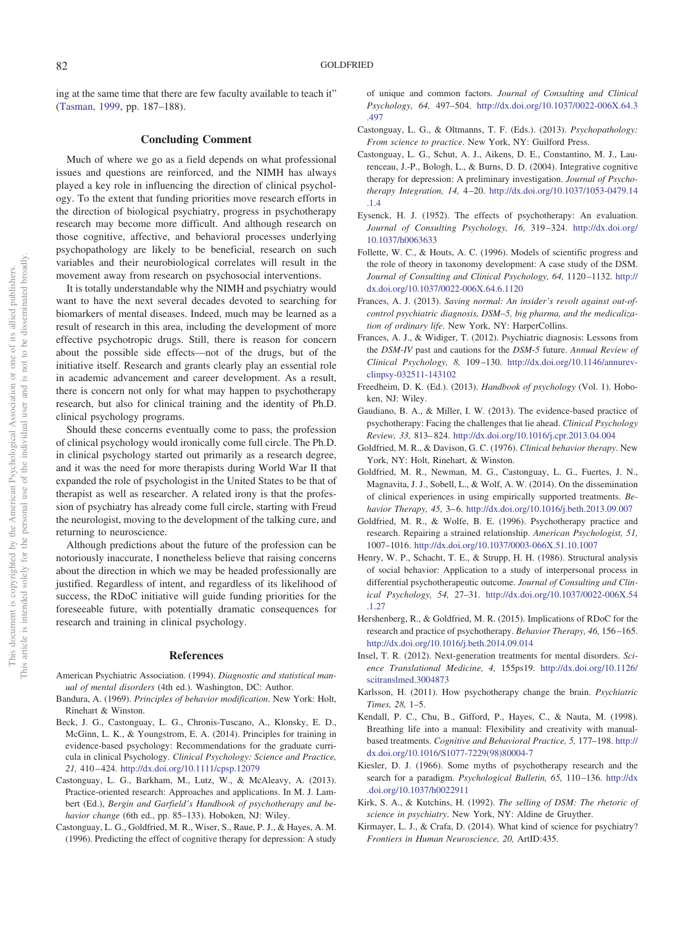ing at the same time that there are few faculty available to teach it" [\(Tasman, 1999,](#page-6-3) pp. 187–188).

#### **Concluding Comment**

Much of where we go as a field depends on what professional issues and questions are reinforced, and the NIMH has always played a key role in influencing the direction of clinical psychology. To the extent that funding priorities move research efforts in the direction of biological psychiatry, progress in psychotherapy research may become more difficult. And although research on those cognitive, affective, and behavioral processes underlying psychopathology are likely to be beneficial, research on such variables and their neurobiological correlates will result in the movement away from research on psychosocial interventions.

It is totally understandable why the NIMH and psychiatry would want to have the next several decades devoted to searching for biomarkers of mental diseases. Indeed, much may be learned as a result of research in this area, including the development of more effective psychotropic drugs. Still, there is reason for concern about the possible side effects—not of the drugs, but of the initiative itself. Research and grants clearly play an essential role in academic advancement and career development. As a result, there is concern not only for what may happen to psychotherapy research, but also for clinical training and the identity of Ph.D. clinical psychology programs.

Should these concerns eventually come to pass, the profession of clinical psychology would ironically come full circle. The Ph.D. in clinical psychology started out primarily as a research degree, and it was the need for more therapists during World War II that expanded the role of psychologist in the United States to be that of therapist as well as researcher. A related irony is that the profession of psychiatry has already come full circle, starting with Freud the neurologist, moving to the development of the talking cure, and returning to neuroscience.

Although predictions about the future of the profession can be notoriously inaccurate, I nonetheless believe that raising concerns about the direction in which we may be headed professionally are justified. Regardless of intent, and regardless of its likelihood of success, the RDoC initiative will guide funding priorities for the foreseeable future, with potentially dramatic consequences for research and training in clinical psychology.

#### **References**

- <span id="page-5-13"></span>American Psychiatric Association. (1994). *Diagnostic and statistical manual of mental disorders* (4th ed.). Washington, DC: Author.
- <span id="page-5-19"></span>Bandura, A. (1969). *Principles of behavior modification*. New York: Holt, Rinehart & Winston.
- <span id="page-5-17"></span>Beck, J. G., Castonguay, L. G., Chronis-Tuscano, A., Klonsky, E. D., McGinn, L. K., & Youngstrom, E. A. (2014). Principles for training in evidence-based psychology: Recommendations for the graduate curricula in clinical Psychology. *Clinical Psychology: Science and Practice, 21,* 410 – 424. <http://dx.doi.org/10.1111/cpsp.12079>
- <span id="page-5-8"></span>Castonguay, L. G., Barkham, M., Lutz, W., & McAleavy, A. (2013). Practice-oriented research: Approaches and applications. In M. J. Lambert (Ed.), *Bergin and Garfield's Handbook of psychotherapy and behavior change* (6th ed., pp. 85–133). Hoboken, NJ: Wiley.
- <span id="page-5-9"></span>Castonguay, L. G., Goldfried, M. R., Wiser, S., Raue, P. J., & Hayes, A. M. (1996). Predicting the effect of cognitive therapy for depression: A study

of unique and common factors. *Journal of Consulting and Clinical Psychology, 64,* 497–504. [http://dx.doi.org/10.1037/0022-006X.64.3](http://dx.doi.org/10.1037/0022-006X.64.3.497) [.497](http://dx.doi.org/10.1037/0022-006X.64.3.497)

- <span id="page-5-18"></span>Castonguay, L. G., & Oltmanns, T. F. (Eds.). (2013). *Psychopathology: From science to practice*. New York, NY: Guilford Press.
- <span id="page-5-11"></span>Castonguay, L. G., Schut, A. J., Aikens, D. E., Constantino, M. J., Laurenceau, J.-P., Bologh, L., & Burns, D. D. (2004). Integrative cognitive therapy for depression: A preliminary investigation. *Journal of Psychotherapy Integration, 14,* 4 –20. [http://dx.doi.org/10.1037/1053-0479.14](http://dx.doi.org/10.1037/1053-0479.14.1.4) [.1.4](http://dx.doi.org/10.1037/1053-0479.14.1.4)
- <span id="page-5-4"></span>Eysenck, H. J. (1952). The effects of psychotherapy: An evaluation. *Journal of Consulting Psychology, 16,* 319 –324. [http://dx.doi.org/](http://dx.doi.org/10.1037/h0063633) [10.1037/h0063633](http://dx.doi.org/10.1037/h0063633)
- <span id="page-5-15"></span>Follette, W. C., & Houts, A. C. (1996). Models of scientific progress and the role of theory in taxonomy development: A case study of the DSM. Journal of Consulting and Clinical Psychology, 64, 1120-1132. [http://](http://dx.doi.org/10.1037/0022-006X.64.6.1120) [dx.doi.org/10.1037/0022-006X.64.6.1120](http://dx.doi.org/10.1037/0022-006X.64.6.1120)
- <span id="page-5-0"></span>Frances, A. J. (2013). *Saving normal: An insider's revolt against out-ofcontrol psychiatric diagnosis, DSM–5, big pharma, and the medicalization of ordinary life*. New York, NY: HarperCollins.
- <span id="page-5-1"></span>Frances, A. J., & Widiger, T. (2012). Psychiatric diagnosis: Lessons from the *DSM*-*IV* past and cautions for the *DSM*-*5* future. *Annual Review of Clinical Psychology, 8,* 109 –130. [http://dx.doi.org/10.1146/annurev](http://dx.doi.org/10.1146/annurev-clinpsy-032511-143102)[clinpsy-032511-143102](http://dx.doi.org/10.1146/annurev-clinpsy-032511-143102)
- <span id="page-5-23"></span>Freedheim, D. K. (Ed.). (2013). *Handbook of psychology* (Vol. 1). Hoboken, NJ: Wiley.
- <span id="page-5-20"></span>Gaudiano, B. A., & Miller, I. W. (2013). The evidence-based practice of psychotherapy: Facing the challenges that lie ahead. *Clinical Psychology Review, 33,* 813– 824. <http://dx.doi.org/10.1016/j.cpr.2013.04.004>
- <span id="page-5-7"></span>Goldfried, M. R., & Davison, G. C. (1976). *Clinical behavior therapy*. New York, NY: Holt, Rinehart, & Winston.
- <span id="page-5-14"></span>Goldfried, M. R., Newman, M. G., Castonguay, L. G., Fuertes, J. N., Magnavita, J. J., Sobell, L., & Wolf, A. W. (2014). On the dissemination of clinical experiences in using empirically supported treatments. *Behavior Therapy, 45,* 3– 6. <http://dx.doi.org/10.1016/j.beth.2013.09.007>
- <span id="page-5-5"></span>Goldfried, M. R., & Wolfe, B. E. (1996). Psychotherapy practice and research. Repairing a strained relationship. *American Psychologist, 51,* 1007–1016. <http://dx.doi.org/10.1037/0003-066X.51.10.1007>
- <span id="page-5-10"></span>Henry, W. P., Schacht, T. E., & Strupp, H. H. (1986). Structural analysis of social behavior: Application to a study of interpersonal process in differential psychotherapeutic outcome. *Journal of Consulting and Clinical Psychology, 54,* 27–31. [http://dx.doi.org/10.1037/0022-006X.54](http://dx.doi.org/10.1037/0022-006X.54.1.27) [.1.27](http://dx.doi.org/10.1037/0022-006X.54.1.27)
- <span id="page-5-3"></span>Hershenberg, R., & Goldfried, M. R. (2015). Implications of RDoC for the research and practice of psychotherapy. *Behavior Therapy, 46,* 156 –165. <http://dx.doi.org/10.1016/j.beth.2014.09.014>
- <span id="page-5-2"></span>Insel, T. R. (2012). Next-generation treatments for mental disorders. *Science Translational Medicine, 4,* 155ps19. [http://dx.doi.org/10.1126/](http://dx.doi.org/10.1126/scitranslmed.3004873) [scitranslmed.3004873](http://dx.doi.org/10.1126/scitranslmed.3004873)
- <span id="page-5-22"></span>Karlsson, H. (2011). How psychotherapy change the brain. *Psychiatric Times, 28,* 1–5.
- <span id="page-5-12"></span>Kendall, P. C., Chu, B., Gifford, P., Hayes, C., & Nauta, M. (1998). Breathing life into a manual: Flexibility and creativity with manualbased treatments. *Cognitive and Behavioral Practice, 5,* 177–198. [http://](http://dx.doi.org/10.1016/S1077-7229%2898%2980004-7) [dx.doi.org/10.1016/S1077-7229\(98\)80004-7](http://dx.doi.org/10.1016/S1077-7229%2898%2980004-7)
- <span id="page-5-6"></span>Kiesler, D. J. (1966). Some myths of psychotherapy research and the search for a paradigm. *Psychological Bulletin, 65,* 110 –136. [http://dx](http://dx.doi.org/10.1037/h0022911) [.doi.org/10.1037/h0022911](http://dx.doi.org/10.1037/h0022911)
- <span id="page-5-16"></span>Kirk, S. A., & Kutchins, H. (1992). *The selling of DSM: The rhetoric of science in psychiatry*. New York, NY: Aldine de Gruyther.
- <span id="page-5-21"></span>Kirmayer, L. J., & Crafa, D. (2014). What kind of science for psychiatry? *Frontiers in Human Neuroscience, 20,* ArtID:435.